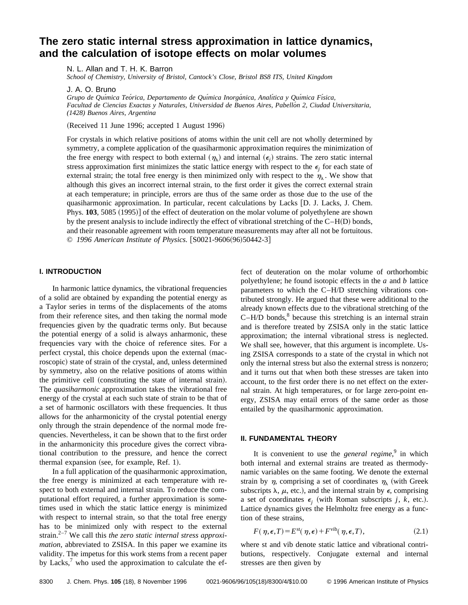# **The zero static internal stress approximation in lattice dynamics, and the calculation of isotope effects on molar volumes**

N. L. Allan and T. H. K. Barron

*School of Chemistry, University of Bristol, Cantock's Close, Bristol BS8 ITS, United Kingdom*

## J. A. O. Bruno

*Grupo de Quı´mica Teo´rica, Departamento de Quı´mica Inorga´nica, Analı´tica y Quı´mica Fı´sica, Facultad de Ciencias Exactas y Naturales, Universidad de Buenos Aires, Pabello´n 2, Ciudad Universitaria, (1428) Buenos Aires, Argentina*

(Received 11 June 1996; accepted 1 August 1996)

For crystals in which relative positions of atoms within the unit cell are not wholly determined by symmetry, a complete application of the quasiharmonic approximation requires the minimization of the free energy with respect to both external  $(\eta_{\lambda})$  and internal  $(\epsilon_i)$  strains. The zero static internal stress approximation first minimizes the static lattice energy with respect to the  $\epsilon$ <sub>*i*</sub> for each state of external strain; the total free energy is then minimized only with respect to the  $\eta_{\lambda}$ . We show that although this gives an incorrect internal strain, to the first order it gives the correct external strain at each temperature; in principle, errors are thus of the same order as those due to the use of the quasiharmonic approximation. In particular, recent calculations by Lacks  $[D, J, Lacks, J, Chem.$ Phys. **103**, 5085 (1995)] of the effect of deuteration on the molar volume of polyethylene are shown by the present analysis to include indirectly the effect of vibrational stretching of the  $C-H(D)$  bonds, and their reasonable agreement with room temperature measurements may after all not be fortuitous. © 1996 American Institute of Physics. [S0021-9606(96)50442-3]

## **I. INTRODUCTION**

In harmonic lattice dynamics, the vibrational frequencies of a solid are obtained by expanding the potential energy as a Taylor series in terms of the displacements of the atoms from their reference sites, and then taking the normal mode frequencies given by the quadratic terms only. But because the potential energy of a solid is always anharmonic, these frequencies vary with the choice of reference sites. For a perfect crystal, this choice depends upon the external (macroscopic) state of strain of the crystal, and, unless determined by symmetry, also on the relative positions of atoms within the primitive cell (constituting the state of internal strain). The *quasiharmonic* approximation takes the vibrational free energy of the crystal at each such state of strain to be that of a set of harmonic oscillators with these frequencies. It thus allows for the anharmonicity of the crystal potential energy only through the strain dependence of the normal mode frequencies. Nevertheless, it can be shown that to the first order in the anharmonicity this procedure gives the correct vibrational contribution to the pressure, and hence the correct thermal expansion (see, for example, Ref. 1).

In a full application of the quasiharmonic approximation, the free energy is minimized at each temperature with respect to both external and internal strain. To reduce the computational effort required, a further approximation is sometimes used in which the static lattice energy is minimized with respect to internal strain, so that the total free energy has to be minimized only with respect to the external strain.2–7 We call this *the zero static internal stress approximation*, abbreviated to ZSISA. In this paper we examine its validity. The impetus for this work stems from a recent paper by Lacks, $\alpha$ <sup>7</sup> who used the approximation to calculate the effect of deuteration on the molar volume of orthorhombic polyethylene; he found isotopic effects in the *a* and *b* lattice parameters to which the C–H/D stretching vibrations contributed strongly. He argued that these were additional to the already known effects due to the vibrational stretching of the  $C-H/D$  bonds,<sup>8</sup> because this stretching is an internal strain and is therefore treated by ZSISA only in the static lattice approximation; the internal vibrational stress is neglected. We shall see, however, that this argument is incomplete. Using ZSISA corresponds to a state of the crystal in which not only the internal stress but also the external stress is nonzero; and it turns out that when both these stresses are taken into account, to the first order there is no net effect on the external strain. At high temperatures, or for large zero-point energy, ZSISA may entail errors of the same order as those entailed by the quasiharmonic approximation.

#### **II. FUNDAMENTAL THEORY**

It is convenient to use the *general regime*, <sup>9</sup> in which both internal and external strains are treated as thermodynamic variables on the same footing. We denote the external strain by  $\eta$ , comprising a set of coordinates  $\eta_{\lambda}$  (with Greek subscripts  $\lambda$ ,  $\mu$ , etc.), and the internal strain by  $\epsilon$ , comprising a set of coordinates  $\epsilon_i$  (with Roman subscripts *j*, *k*, etc.). Lattice dynamics gives the Helmholtz free energy as a function of these strains,

$$
F(\eta, \epsilon, T) = E^{\text{st}}(\eta, \epsilon) + F^{\text{vib}}(\eta, \epsilon, T), \tag{2.1}
$$

where st and vib denote static lattice and vibrational contributions, respectively. Conjugate external and internal stresses are then given by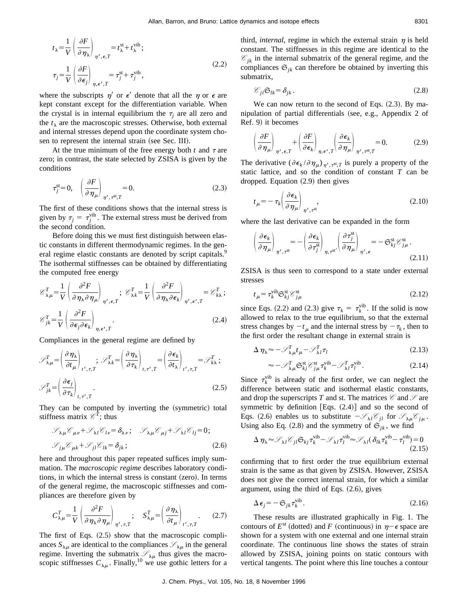$$
t_{\lambda} = \frac{1}{V} \left( \frac{\partial F}{\partial \eta_{\lambda}} \right)_{\eta', \epsilon, T} = t_{\lambda}^{\text{st}} + t_{\lambda}^{\text{vib}};
$$
  

$$
\tau_{j} = \frac{1}{V} \left( \frac{\partial F}{\partial \epsilon_{j}} \right)_{\eta, \epsilon', T} = \tau_{j}^{\text{st}} + \tau_{j}^{\text{vib}}.
$$
 (2.2)

where the subscripts  $\eta'$  or  $\epsilon'$  denote that all the  $\eta$  or  $\epsilon$  are kept constant except for the differentiation variable. When the crystal is in internal equilibrium the  $\tau_i$  are all zero and the  $t_{\lambda}$  are the macroscopic stresses. Otherwise, both external and internal stresses depend upon the coordinate system chosen to represent the internal strain (see Sec. III).

At the true minimum of the free energy both  $t$  and  $\tau$  are zero; in contrast, the state selected by ZSISA is given by the conditions

$$
\tau_j^{\text{st}} = 0, \quad \left(\frac{\partial F}{\partial \eta_\mu}\right)_{\eta', \tau^{\text{st}}, T} = 0. \tag{2.3}
$$

The first of these conditions shows that the internal stress is given by  $\tau_j = \tau_j^{\text{vib}}$ . The external stress must be derived from the second condition.

Before doing this we must first distinguish between elastic constants in different thermodynamic regimes. In the general regime elastic constants are denoted by script capitals.<sup>9</sup> The isothermal stiffnesses can be obtained by differentiating the computed free energy

$$
\mathcal{E}_{\lambda\mu}^{T} = \frac{1}{V} \left( \frac{\partial^2 F}{\partial \eta_{\lambda} \partial \eta_{\mu}} \right)_{\eta', \epsilon, T}; \ \mathcal{E}_{\lambda k}^{T} = \frac{1}{V} \left( \frac{\partial^2 F}{\partial \eta_{\lambda} \partial \epsilon_k} \right)_{\eta', \epsilon', T} = \mathcal{E}_{k\lambda}^{T};
$$
\n
$$
\mathcal{E}_{jk}^{T} = \frac{1}{V} \left( \frac{\partial^2 F}{\partial \epsilon_j \partial \epsilon_k} \right)_{\eta, \epsilon', T}.
$$
\n(2.4)

Compliances in the general regime are defined by

$$
\mathscr{S}_{\lambda\mu}^{T} = \left(\frac{\partial \eta_{\lambda}}{\partial t_{\mu}}\right)_{t',\tau,T}; \ \mathscr{S}_{\lambda k}^{T} = \left(\frac{\partial \eta_{\lambda}}{\partial \tau_{k}}\right)_{t,\tau',T} = \left(\frac{\partial \epsilon_{k}}{\partial t_{\lambda}}\right)_{t',\tau,T} = \mathscr{S}_{k\lambda}^{T};
$$
\n
$$
\mathscr{S}_{jk}^{T} = \left(\frac{\partial \epsilon_{j}}{\partial \tau_{k}}\right)_{t,\tau',T}.
$$
\n(2.5)

They can be computed by inverting the (symmetric) total stiffness matrix  $\mathscr{C}^{\tilde{T}}$ ; thus

$$
\mathcal{S}_{\lambda\mu}\mathcal{C}_{\mu\nu} + \mathcal{S}_{\lambda l}\mathcal{C}_{l\nu} = \delta_{\lambda\nu}; \quad \mathcal{S}_{\lambda\mu}\mathcal{C}_{\mu j} + \mathcal{S}_{\lambda l}\mathcal{C}_{l j} = 0; \n\mathcal{S}_{j\mu}\mathcal{C}_{\mu k} + \mathcal{S}_{jl}\mathcal{C}_{lk} = \delta_{jk};
$$
\n(2.6)

here and throughout this paper repeated suffices imply summation. The *macroscopic regime* describes laboratory conditions, in which the internal stress is constant (zero). In terms of the general regime, the macroscopic stiffnesses and compliances are therefore given by

$$
C_{\lambda\mu}^T = \frac{1}{V} \left( \frac{\partial^2 F}{\partial \eta_\lambda \partial \eta_\mu} \right)_{\eta', \tau, T}; \quad S_{\lambda\mu}^T = \left( \frac{\partial \eta_\lambda}{\partial t_\mu} \right)_{t', \tau, T}.
$$
 (2.7)

The first of Eqs.  $(2.5)$  show that the macroscopic compliances  $S_{\lambda\mu}$  are identical to the compliances  $\mathcal{S}_{\lambda\mu}$  in the general regime. Inverting the submatrix  $\mathcal{S}_{\lambda\mu}$  thus gives the macroscopic stiffnesses  $C_{\lambda\mu}$ . Finally,<sup>10</sup> we use gothic letters for a third, *internal*, regime in which the external strain  $\eta$  is held constant. The stiffnesses in this regime are identical to the  $\mathcal{C}_{ik}$  in the internal submatrix of the general regime, and the compliances  $\mathfrak{S}_{jk}$  can therefore be obtained by inverting this submatrix,

$$
\mathcal{C}_{jl}\mathfrak{S}_{lk}=\delta_{jk}\,. \tag{2.8}
$$

We can now return to the second of Eqs.  $(2.3)$ . By manipulation of partial differentials (see, e.g., Appendix  $2$  of Ref. 9) it becomes

$$
\left(\frac{\partial F}{\partial \eta_{\mu}}\right)_{\eta',\epsilon,T} + \left(\frac{\partial F}{\partial \epsilon_k}\right)_{\eta,\epsilon',T} \left(\frac{\partial \epsilon_k}{\partial \eta_{\mu}}\right)_{\eta',\tau^{\text{st}},T} = 0. \tag{2.9}
$$

The derivative  $(\partial \epsilon_k / \partial \eta_\mu)_{\eta',\tau^{\text{st}},T}$  is purely a property of the static lattice, and so the condition of constant *T* can be dropped. Equation  $(2.9)$  then gives

$$
t_{\mu} = -\tau_k \left(\frac{\partial \epsilon_k}{\partial \eta_{\mu}}\right)_{\eta',\tau^{\text{st}}},\tag{2.10}
$$

where the last derivative can be expanded in the form

$$
\left(\frac{\partial \epsilon_k}{\partial \eta_\mu}\right)_{\eta',\tau^{\text{st}}} = -\left(\frac{\partial \epsilon_k}{\partial \tau_j^{\text{st}}}\right)_{\eta,\tau^{\text{st}'}} \left(\frac{\partial \tau_j^{\text{st}}}{\partial \eta_\mu}\right)_{\eta',\epsilon} = -\mathfrak{S}_{kj}^{\text{st}} \mathcal{E}_{j\mu}^{\text{st}}.
$$
\n(2.11)

ZSISA is thus seen to correspond to a state under external stresses

$$
t_{\mu} = \tau_k^{\text{vib}} \mathfrak{S}_{kj}^{\text{st}} \mathcal{E}_{j\mu}^{\text{st}}
$$
 (2.12)

since Eqs. (2.2) and (2.3) give  $\tau_k = \tau_k^{\text{vib}}$ . If the solid is now allowed to relax to the true equilibrium, so that the external stress changes by  $-t_{\mu}$  and the internal stress by  $-\tau_{k}$ , then to the first order the resultant change in external strain is

$$
\Delta \eta_{\lambda} \approx -\mathcal{S}_{\lambda\mu}^T t_{\mu} - \mathcal{S}_{\lambda l}^T \tau_l \tag{2.13}
$$

$$
\approx -\mathscr{S}_{\lambda\mu}^T \mathfrak{S}_{kj}^{\text{st}} \mathscr{S}_{j\mu}^{\text{st}} \tau_k^{\text{vib}} - \mathscr{S}_{\lambda l}^T \tau_l^{\text{vib}}.
$$
\n(2.14)

Since  $\tau_k^{\text{vib}}$  is already of the first order, we can neglect the difference between static and isothermal elastic constants, and drop the superscripts *T* and st. The matrices  $\mathcal C$  and  $\mathcal S$  are symmetric by definition [Eqs.  $(2.4)$ ] and so the second of Eqs. (2.6) enables us to substitute  $-\mathcal{S}_{\lambda l}\mathcal{C}_{jl}$  for  $\mathcal{S}_{\lambda \mu}\mathcal{C}_{j\mu}$ . Using also Eq. (2.8) and the symmetry of  $\mathfrak{S}_{ik}$ , we find

$$
\Delta \eta_{\lambda} \approx \mathcal{S}_{\lambda l} \mathcal{C}_{jl} \mathfrak{S}_{kj} \tau_k^{\text{vib}} - \mathcal{S}_{\lambda l} \tau_l^{\text{vib}} \approx \mathcal{S}_{\lambda l} (\delta_{lk} \tau_k^{\text{vib}} - \tau_l^{\text{vib}}) = 0
$$
\n(2.15)

confirming that to first order the true equilibrium external strain is the same as that given by ZSISA. However, ZSISA does not give the correct internal strain, for which a similar argument, using the third of Eqs.  $(2.6)$ , gives

$$
\Delta \epsilon_j = -\mathfrak{S}_{jk} \tau_k^{\text{vib}}.
$$
\n(2.16)

These results are illustrated graphically in Fig. 1. The contours of  $E^{\text{st}}$  (dotted) and *F* (continuous) in  $\eta - \epsilon$  space are shown for a system with one external and one internal strain coordinate. The continuous line shows the states of strain allowed by ZSISA, joining points on static contours with vertical tangents. The point where this line touches a contour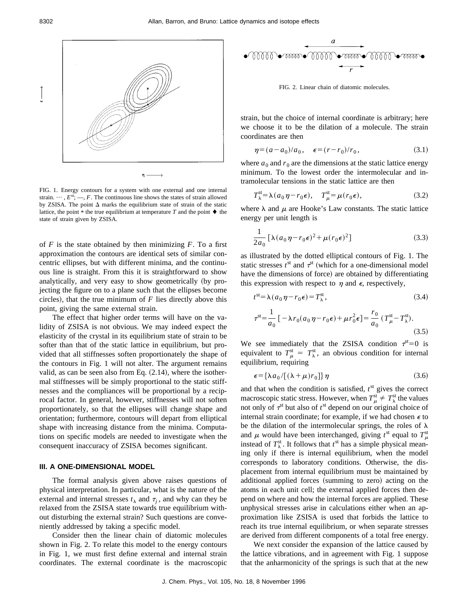

FIG. 1. Energy contours for a system with one external and one internal strain.  $\cdots$ ,  $E^{st}$ ; —, *F*. The continuous line shows the states of strain allowed by ZSISA. The point  $\Delta$  marks the equilibrium state of strain of the static lattice, the point  $*$  the true equilibrium at temperature  $T$  and the point  $\blacklozenge$  the state of strain given by ZSISA.

of *F* is the state obtained by then minimizing *F*. To a first approximation the contours are identical sets of similar concentric ellipses, but with different minima, and the continuous line is straight. From this it is straightforward to show analytically, and very easy to show geometrically (by projecting the figure on to a plane such that the ellipses become circles), that the true minimum of  $F$  lies directly above this point, giving the same external strain.

The effect that higher order terms will have on the validity of ZSISA is not obvious. We may indeed expect the elasticity of the crystal in its equilibrium state of strain to be softer than that of the static lattice in equilibrium, but provided that all stiffnesses soften proportionately the shape of the contours in Fig. 1 will not alter. The argument remains valid, as can be seen also from Eq.  $(2.14)$ , where the isothermal stiffnesses will be simply proportional to the static stiffnesses and the compliances will be proportional by a reciprocal factor. In general, however, stiffnesses will not soften proportionately, so that the ellipses will change shape and orientation; furthermore, contours will depart from elliptical shape with increasing distance from the minima. Computations on specific models are needed to investigate when the consequent inaccuracy of ZSISA becomes significant.

#### **III. A ONE-DIMENSIONAL MODEL**

The formal analysis given above raises questions of physical interpretation. In particular, what is the nature of the external and internal stresses  $t_{\lambda}$  and  $\tau_j$ , and why can they be relaxed from the ZSISA state towards true equilibrium without disturbing the external strain? Such questions are conveniently addressed by taking a specific model.

Consider then the linear chain of diatomic molecules shown in Fig. 2. To relate this model to the energy contours in Fig. 1, we must first define external and internal strain coordinates. The external coordinate is the macroscopic

$$
\begin{array}{c}\n a \\
\hline\n\end{array}
$$

FIG. 2. Linear chain of diatomic molecules.

strain, but the choice of internal coordinate is arbitrary; here we choose it to be the dilation of a molecule. The strain coordinates are then

$$
\eta = (a - a_0)/a_0, \quad \epsilon = (r - r_0)/r_0,\tag{3.1}
$$

where  $a_0$  and  $r_0$  are the dimensions at the static lattice energy minimum. To the lowest order the intermolecular and intramolecular tensions in the static lattice are then

$$
T_{\lambda}^{\text{st}} = \lambda (a_0 \eta - r_0 \epsilon), \quad T_{\mu}^{\text{st}} = \mu (r_0 \epsilon), \tag{3.2}
$$

where  $\lambda$  and  $\mu$  are Hooke's Law constants. The static lattice energy per unit length is

$$
\frac{1}{2a_0} \left[ \lambda (a_0 \eta - r_0 \epsilon)^2 + \mu (r_0 \epsilon)^2 \right]
$$
 (3.3)

as illustrated by the dotted elliptical contours of Fig. 1. The static stresses  $t^{\text{st}}$  and  $\tau^{\text{st}}$  (which for a one-dimensional model have the dimensions of force) are obtained by differentiating this expression with respect to  $\eta$  and  $\epsilon$ , respectively,

$$
t^{\text{st}} = \lambda (a_0 \eta - r_0 \epsilon) = T_\lambda^{\text{st}}, \qquad (3.4)
$$

$$
\tau^{\text{st}} = \frac{1}{a_0} \left[ -\lambda r_0 (a_0 \eta - r_0 \epsilon) + \mu r_0^2 \epsilon \right] = \frac{r_0}{a_0} \left( T_\mu^{\text{st}} - T_\lambda^{\text{st}} \right). \tag{3.5}
$$

We see immediately that the ZSISA condition  $\tau^{\text{st}}=0$  is equivalent to  $T_{\mu}^{\text{st}} = T_{\lambda}^{\text{st}}$ , an obvious condition for internal equilibrium, requiring

$$
\epsilon = {\lambda a_0 / [(\lambda + \mu) r_0]} \eta \tag{3.6}
$$

and that when the condition is satisfied,  $t<sup>st</sup>$  gives the correct macroscopic static stress. However, when  $T_{\mu}^{\text{st}} \neq T_{\lambda}^{\text{st}}$  the values not only of  $\tau$ <sup>st</sup> but also of  $t$ <sup>st</sup> depend on our original choice of internal strain coordinate; for example, if we had chosen  $\epsilon$  to be the dilation of the intermolecular springs, the roles of  $\lambda$ and  $\mu$  would have been interchanged, giving  $t^{\text{st}}$  equal to  $T^{\text{st}}_{\mu}$ instead of  $T_\lambda^{\text{st}}$ . It follows that  $t^{\text{st}}$  has a simple physical meaning only if there is internal equilibrium, when the model corresponds to laboratory conditions. Otherwise, the displacement from internal equilibrium must be maintained by additional applied forces (summing to zero) acting on the atoms in each unit cell; the external applied forces then depend on where and how the internal forces are applied. These unphysical stresses arise in calculations either when an approximation like ZSISA is used that forbids the lattice to reach its true internal equilibrium, or when separate stresses are derived from different components of a total free energy.

We next consider the expansion of the lattice caused by the lattice vibrations, and in agreement with Fig. 1 suppose that the anharmonicity of the springs is such that at the new